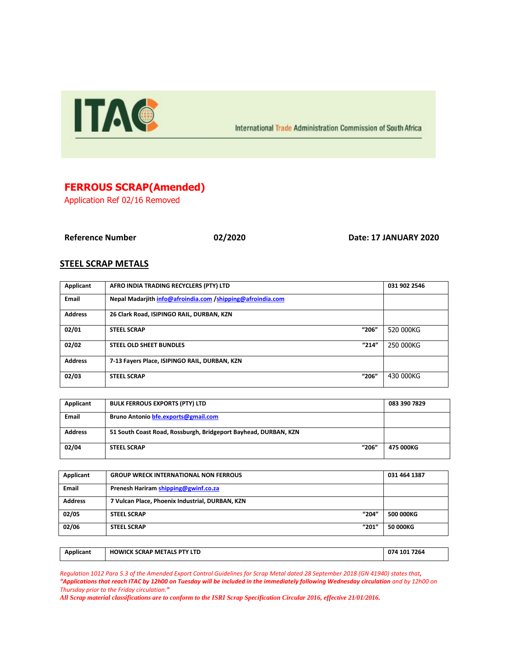

International Trade Administration Commission of South Africa

## **FERROUS SCRAP(Amended)**

Application Ref 02/16 Removed

**Reference Number 02/2020 Date: 17 JANUARY 2020**

## **STEEL SCRAP METALS**

| Applicant      | AFRO INDIA TRADING RECYCLERS (PTY) LTD                     | 031 902 2546 |
|----------------|------------------------------------------------------------|--------------|
| <b>Email</b>   | Nepal Madarjith info@afroindia.com /shipping@afroindia.com |              |
| <b>Address</b> | 26 Clark Road, ISIPINGO RAIL, DURBAN, KZN                  |              |
| 02/01          | "206"<br><b>STEEL SCRAP</b>                                | 520 000KG    |
| 02/02          | "214"<br><b>STEEL OLD SHEET BUNDLES</b>                    | 250 000KG    |
| <b>Address</b> | 7-13 Fayers Place, ISIPINGO RAIL, DURBAN, KZN              |              |
| 02/03          | "206"<br><b>STEEL SCRAP</b>                                | 430 000KG    |

| Applicant      | <b>BULK FERROUS EXPORTS (PTY) LTD</b>                           | 083 390 7829 |
|----------------|-----------------------------------------------------------------|--------------|
| Email          | Bruno Antonio bfe.exports@gmail.com                             |              |
| <b>Address</b> | 51 South Coast Road, Rossburgh, Bridgeport Bayhead, DURBAN, KZN |              |
| 02/04          | "206"<br><b>STEEL SCRAP</b>                                     | 475 000KG    |

| Applicant      | <b>GROUP WRECK INTERNATIONAL NON FERROUS</b>    | 031 464 1387 |
|----------------|-------------------------------------------------|--------------|
| Email          | Prenesh Hariram shipping@gwinf.co.za            |              |
| <b>Address</b> | 7 Vulcan Place, Phoenix Industrial, DURBAN, KZN |              |
| 02/05          | "204"<br><b>STEEL SCRAP</b>                     | 500 000KG    |
| 02/06          | "201"<br><b>STEEL SCRAP</b>                     | 50 000KG     |

| Applicant | <b>HOWICK SCRAP METALS PTY LTD</b> | 074 101 7264 |
|-----------|------------------------------------|--------------|
|           |                                    |              |

*Regulation 1012 Para 5.3 of the Amended Export Control Guidelines for Scrap Metal dated 28 September 2018 (GN 41940) states that, "Applications that reach ITAC by 12h00 on Tuesday will be included in the immediately following Wednesday circulation and by 12h00 on Thursday prior to the Friday circulation."*

*All Scrap material classifications are to conform to the ISRI Scrap Specification Circular 2016, effective 21/01/2016.*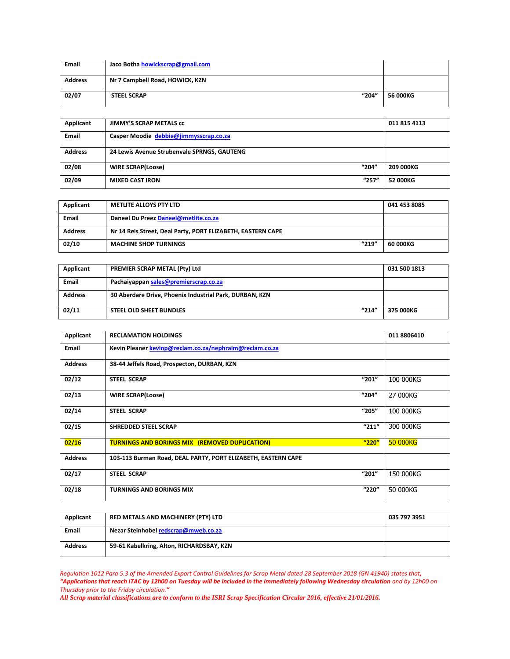| <b>Email</b>   | Jaco Botha howickscrap@gmail.com |          |
|----------------|----------------------------------|----------|
| <b>Address</b> | Nr 7 Campbell Road, HOWICK, KZN  |          |
| 02/07          | "204"<br><b>STEEL SCRAP</b>      | 56 000KG |

| Applicant      | <b>JIMMY'S SCRAP METALS CC</b>              | 011 815 4113 |
|----------------|---------------------------------------------|--------------|
| <b>Email</b>   | Casper Moodie debbie@jimmysscrap.co.za      |              |
| <b>Address</b> | 24 Lewis Avenue Strubenvale SPRNGS, GAUTENG |              |
| 02/08          | "204"<br><b>WIRE SCRAP(Loose)</b>           | 209 000KG    |
| 02/09          | "257"<br><b>MIXED CAST IRON</b>             | 52 000KG     |

| Applicant      | <b>METLITE ALLOYS PTY LTD</b>                               | 041 453 8085 |
|----------------|-------------------------------------------------------------|--------------|
| Email          | Daneel Du Preez Daneel@metlite.co.za                        |              |
| <b>Address</b> | Nr 14 Reis Street, Deal Party, PORT ELIZABETH, EASTERN CAPE |              |
| 02/10          | "219"<br><b>MACHINE SHOP TURNINGS</b>                       | 60 000KG     |

| Applicant      | <b>PREMIER SCRAP METAL (Pty) Ltd</b>                    | 031 500 1813 |
|----------------|---------------------------------------------------------|--------------|
| Email          | Pachaiyappan sales@premierscrap.co.za                   |              |
| <b>Address</b> | 30 Aberdare Drive, Phoenix Industrial Park, DURBAN, KZN |              |
| 02/11          | "214"<br><b>STEEL OLD SHEET BUNDLES</b>                 | 375 000KG    |

| Applicant      | <b>RECLAMATION HOLDINGS</b>                                   |       | 011 8806410 |
|----------------|---------------------------------------------------------------|-------|-------------|
| <b>Email</b>   | Kevin Pleaner kevinp@reclam.co.za/nephraim@reclam.co.za       |       |             |
| <b>Address</b> | 38-44 Jeffels Road, Prospecton, DURBAN, KZN                   |       |             |
| 02/12          | <b>STEEL SCRAP</b>                                            | "201" | 100 000KG   |
| 02/13          | <b>WIRE SCRAP(Loose)</b>                                      | "204" | 27 000KG    |
| 02/14          | <b>STEEL SCRAP</b>                                            | "205" | 100 000KG   |
| 02/15          | <b>SHREDDED STEEL SCRAP</b>                                   | "211" | 300 000KG   |
| 02/16          | <b>TURNINGS AND BORINGS MIX (REMOVED DUPLICATION)</b>         | "220" | 50 000KG    |
| <b>Address</b> | 103-113 Burman Road, DEAL PARTY, PORT ELIZABETH, EASTERN CAPE |       |             |
| 02/17          | <b>STEEL SCRAP</b>                                            | "201" | 150 000KG   |
| 02/18          | <b>TURNINGS AND BORINGS MIX</b>                               | "220" | 50 000KG    |

| Applicant      | RED METALS AND MACHINERY (PTY) LTD        | 035 797 3951 |
|----------------|-------------------------------------------|--------------|
| <b>Email</b>   | Nezar Steinhobel redscrap@mweb.co.za      |              |
| <b>Address</b> | 59-61 Kabelkring, Alton, RICHARDSBAY, KZN |              |

*Regulation 1012 Para 5.3 of the Amended Export Control Guidelines for Scrap Metal dated 28 September 2018 (GN 41940) states that, "Applications that reach ITAC by 12h00 on Tuesday will be included in the immediately following Wednesday circulation and by 12h00 on Thursday prior to the Friday circulation."*

*All Scrap material classifications are to conform to the ISRI Scrap Specification Circular 2016, effective 21/01/2016.*